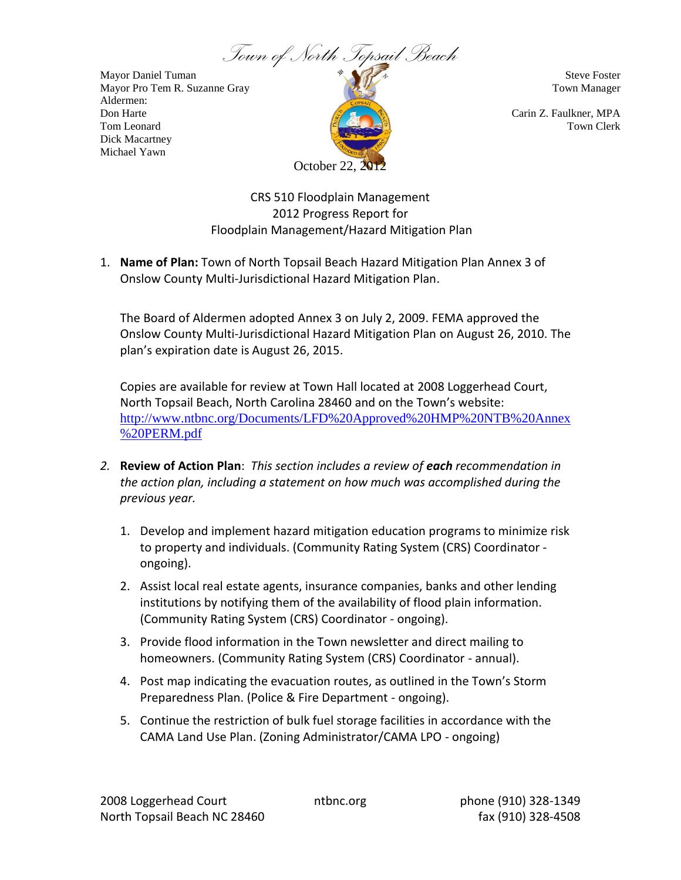

Aldermen: Dick Macartney Michael Yawn



CRS 510 Floodplain Management 2012 Progress Report for Floodplain Management/Hazard Mitigation Plan

1. **Name of Plan:** Town of North Topsail Beach Hazard Mitigation Plan Annex 3 of Onslow County Multi-Jurisdictional Hazard Mitigation Plan.

The Board of Aldermen adopted Annex 3 on July 2, 2009. FEMA approved the Onslow County Multi-Jurisdictional Hazard Mitigation Plan on August 26, 2010. The plan's expiration date is August 26, 2015.

Copies are available for review at Town Hall located at 2008 Loggerhead Court, North Topsail Beach, North Carolina 28460 and on the Town's website: [http://www.ntbnc.org/Documents/LFD%20Approved%20HMP%20NTB%20Annex](http://www.ntbnc.org/Documents/LFD%20Approved%20HMP%20NTB%20Annex%20PERM.pdf) [%20PERM.pdf](http://www.ntbnc.org/Documents/LFD%20Approved%20HMP%20NTB%20Annex%20PERM.pdf)

- *2.* **Review of Action Plan**: *This section includes a review of each recommendation in the action plan, including a statement on how much was accomplished during the previous year.*
	- 1. Develop and implement hazard mitigation education programs to minimize risk to property and individuals. (Community Rating System (CRS) Coordinator ongoing).
	- 2. Assist local real estate agents, insurance companies, banks and other lending institutions by notifying them of the availability of flood plain information. (Community Rating System (CRS) Coordinator - ongoing).
	- 3. Provide flood information in the Town newsletter and direct mailing to homeowners. (Community Rating System (CRS) Coordinator - annual).
	- 4. Post map indicating the evacuation routes, as outlined in the Town's Storm Preparedness Plan. (Police & Fire Department - ongoing).
	- 5. Continue the restriction of bulk fuel storage facilities in accordance with the CAMA Land Use Plan. (Zoning Administrator/CAMA LPO - ongoing)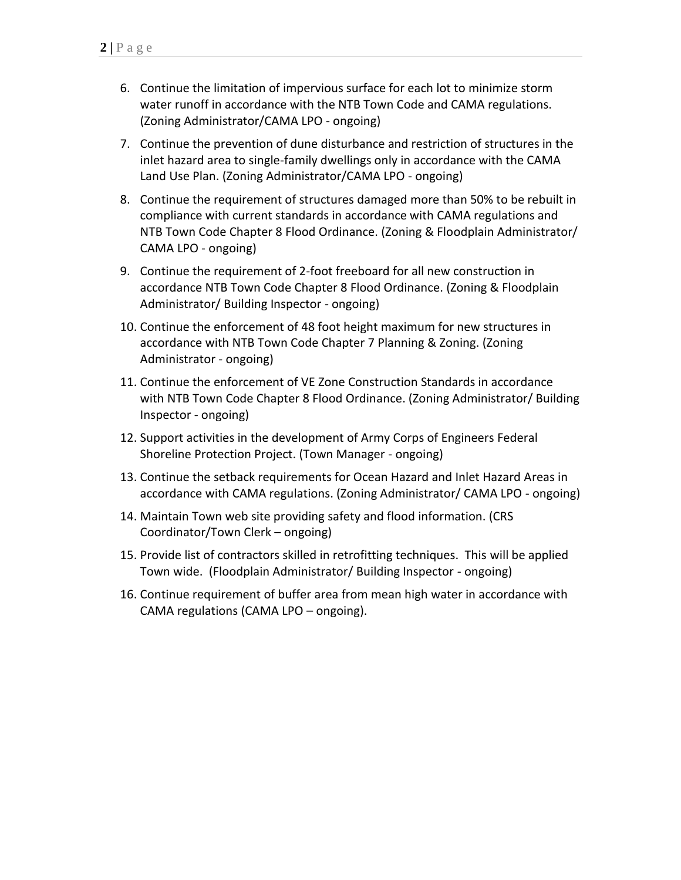- 6. Continue the limitation of impervious surface for each lot to minimize storm water runoff in accordance with the NTB Town Code and CAMA regulations. (Zoning Administrator/CAMA LPO - ongoing)
- 7. Continue the prevention of dune disturbance and restriction of structures in the inlet hazard area to single-family dwellings only in accordance with the CAMA Land Use Plan. (Zoning Administrator/CAMA LPO - ongoing)
- 8. Continue the requirement of structures damaged more than 50% to be rebuilt in compliance with current standards in accordance with CAMA regulations and NTB Town Code Chapter 8 Flood Ordinance. (Zoning & Floodplain Administrator/ CAMA LPO - ongoing)
- 9. Continue the requirement of 2-foot freeboard for all new construction in accordance NTB Town Code Chapter 8 Flood Ordinance. (Zoning & Floodplain Administrator/ Building Inspector - ongoing)
- 10. Continue the enforcement of 48 foot height maximum for new structures in accordance with NTB Town Code Chapter 7 Planning & Zoning. (Zoning Administrator - ongoing)
- 11. Continue the enforcement of VE Zone Construction Standards in accordance with NTB Town Code Chapter 8 Flood Ordinance. (Zoning Administrator/ Building Inspector - ongoing)
- 12. Support activities in the development of Army Corps of Engineers Federal Shoreline Protection Project. (Town Manager - ongoing)
- 13. Continue the setback requirements for Ocean Hazard and Inlet Hazard Areas in accordance with CAMA regulations. (Zoning Administrator/ CAMA LPO - ongoing)
- 14. Maintain Town web site providing safety and flood information. (CRS Coordinator/Town Clerk – ongoing)
- 15. Provide list of contractors skilled in retrofitting techniques. This will be applied Town wide. (Floodplain Administrator/ Building Inspector - ongoing)
- 16. Continue requirement of buffer area from mean high water in accordance with CAMA regulations (CAMA LPO – ongoing).